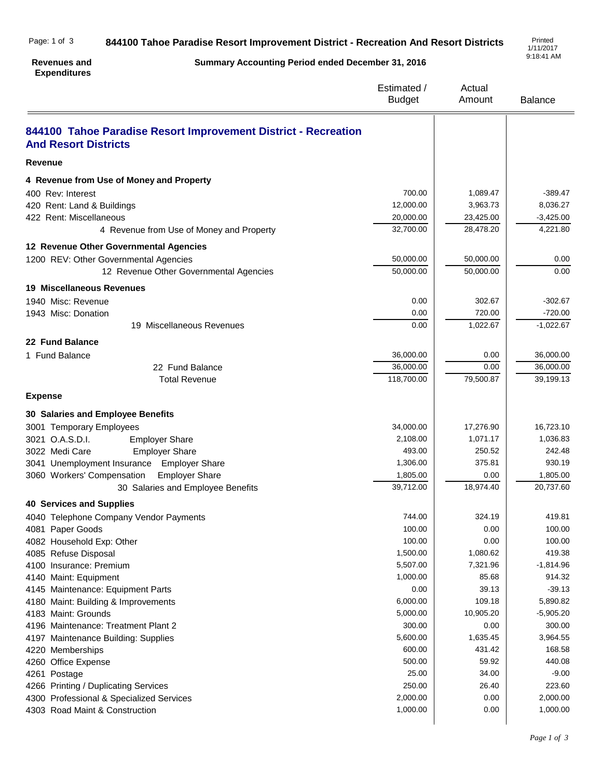## **844100 Tahoe Paradise Resort Improvement District - Recreation And Resort Districts** Printed Page: 1 of 3

1/11/2017 9:18:41 AM

## **Summary Accounting Period ended December 31, 2016** Estimated / Budget Actual Amount Balance **Revenues and Expenditures 844100 Tahoe Paradise Resort Improvement District - Recreation And Resort Districts Revenue 4 Revenue from Use of Money and Property** 400 Rev: Interest 700.00 | 1,089.47 | -389.47 420 Rent: Land & Buildings 2008.27 (12,000.00 ) 3,963.73 8,036.27 422 Rent: Miscellaneous 20,000.00 23,425.00 -3,425.00 -3,425.00 4 Revenue from Use of Money and Property 32,700.00  $\overline{)$  32,700.00  $\overline{)$  28,478.20  $\overline{)$  4,221.80 **12 Revenue Other Governmental Agencies** 1200 REV: Other Governmental Agencies 60,000 50,000.00 | 50,000.00 | 50,000.00 | 50,000 | 0.00 12 Revenue Other Governmental Agencies 60,000.00 50,000.00 50,000.00 50,000.00 **19 Miscellaneous Revenues** 1940 Misc: Revenue 202.67 - 302.67 - 302.67 - 302.67 - 302.67 - 302.67 - 302.67 - 302.67 - 302.67 - 302.67 - 302.67 - 302.67 - 302.67 - 302.67 - 302.67 - 302.67 - 302.67 - 302.67 - 302.67 - 302.67 - 302.67 - 302.67 - 302.6 1943 Misc: Donation 0.00 720.00 -720.00 19 Miscellaneous Revenues 2000 1,022.67 -1,022.67 -1,022.67 **22 Fund Balance** 1 Fund Balance 36,000.00 0.00 36,000.00 22 Fund Balance 36,000.00 36,000.00 36,000.00 36,000.00 Total Revenue 118,700.00 79,500.87 39,199.13 **Expense 30 Salaries and Employee Benefits** 3001 Temporary Employees 34,000.00 17,276.90 16,723.10 3021 O.A.S.D.I. Employer Share 2,108.00 | 1,071.17 | 1,036.83 3022 Medi Care Employer Share 493.00 250.52 242.48 3041 Unemployment Insurance Employer Share 1,306.00 1,306.00 375.81 930.19 3060 Workers' Compensation Employer Share 1,805.00 1,805.00 1,805.00 1,805.00 1,805.00 30 Salaries and Employee Benefits 39,712.00 18,974.40 20,737.60 **40 Services and Supplies** 4040 Telephone Company Vendor Payments **744.00** 744.00 324.19 324.19 419.81 4081 Paper Goods 100.00 0.00 100.00 4082 Household Exp: Other 100.00  $\vert$  0.00  $\vert$  0.00  $\vert$  100.00 4085 Refuse Disposal 1,500.00  $\vert$  1,080.62  $\vert$  419.38 4100 Insurance: Premium 1,814.96  $\sim$  5,507.00  $\sim$  7,321.96  $\sim$  7,321.96  $\sim$  7,4814.96 4140 Maint: Equipment 914.32 and 1,000.00 and 1,000.00 and 1,000.00 and 1,000.00 and 1,000.00 and 1,000.00 and 1,000.00 and 1,000.00 and 1,000.00 and 1,000.00 and 1,000.00 and 1,000.00 and 1,000.00 and 1,000.00 and 1,000.0 4145 Maintenance: Equipment Parts 6.00 and the state of the state of the state of the state of the state of the state of the state of the state of the state of the state of the state of the state of the state of the state 4180 Maint: Building & Improvements 6,000.00 | 109.18 5,890.82 4183 Maint: Grounds **6,000.00** 10,905.20 -5,905.20 -5,905.20 -5,905.20 -5,905.20 -5,905.20 -5,905.20 -5,905.20 -5,905.20 -5,905.20 -5,905.20 -5,905.20 -5,905.20 -5,905.20 -5,905.20 -5,905.20 -5,905.20 -5,905.20 -5,905.20 -4196 Maintenance: Treatment Plant 2 300.00 300.00 300.00 300.00 300.00 4197 Maintenance Building: Supplies 6,600.00 1,635.45 3,964.55 3,964.55 3,964.55 4220 Memberships 600.00 431.42 168.58 4260 Office Expense 40.08 **59.92** 440.08 4261 Postage 25.00 34.00 -9.00 4266 Printing / Duplicating Services 250.00 26.40 223.60 4300 Professional & Specialized Services 2,000.00 2,000.00 2,000.00 2,000.00 2,000.00 4303 Road Maint & Construction 1,000.00 **1,000.00** 1,000.00 **1,000.00** 1,000.00 **1,000.00** 1,000.00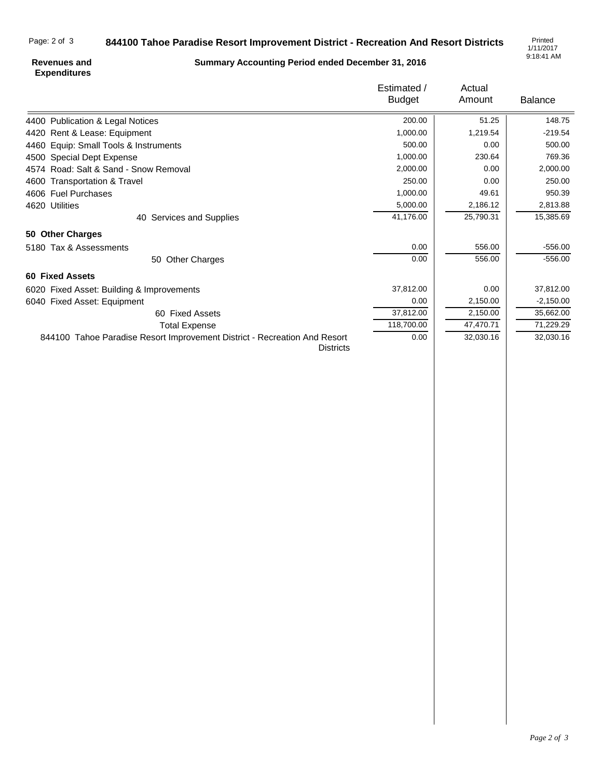## **844100 Tahoe Paradise Resort Improvement District - Recreation And Resort Districts** Page: 2 of 3

**Summary Accounting Period ended December 31, 2016**

1/11/2017 9:18:41 AM

## **Revenues and Expenditures**

|                                                                                               | Estimated /<br><b>Budget</b> | Actual<br>Amount | <b>Balance</b> |
|-----------------------------------------------------------------------------------------------|------------------------------|------------------|----------------|
| 4400 Publication & Legal Notices                                                              | 200.00                       | 51.25            | 148.75         |
| 4420 Rent & Lease: Equipment                                                                  | 1,000.00                     | 1,219.54         | $-219.54$      |
| 4460 Equip: Small Tools & Instruments                                                         | 500.00                       | 0.00             | 500.00         |
| 4500 Special Dept Expense                                                                     | 1,000.00                     | 230.64           | 769.36         |
| 4574 Road: Salt & Sand - Snow Removal                                                         | 2,000.00                     | 0.00             | 2,000.00       |
| 4600 Transportation & Travel                                                                  | 250.00                       | 0.00             | 250.00         |
| 4606 Fuel Purchases                                                                           | 1,000.00                     | 49.61            | 950.39         |
| 4620 Utilities                                                                                | 5,000.00                     | 2,186.12         | 2,813.88       |
| 40 Services and Supplies                                                                      | 41,176.00                    | 25,790.31        | 15,385.69      |
| 50 Other Charges                                                                              |                              |                  |                |
| 5180 Tax & Assessments                                                                        | 0.00                         | 556.00           | $-556.00$      |
| <b>Other Charges</b><br>50                                                                    | 0.00                         | 556.00           | $-556.00$      |
| <b>60 Fixed Assets</b>                                                                        |                              |                  |                |
| 6020 Fixed Asset: Building & Improvements                                                     | 37,812.00                    | 0.00             | 37,812.00      |
| 6040 Fixed Asset: Equipment                                                                   | 0.00                         | 2,150.00         | $-2,150.00$    |
| 60 Fixed Assets                                                                               | 37,812.00                    | 2,150.00         | 35,662.00      |
| <b>Total Expense</b>                                                                          | 118,700.00                   | 47,470.71        | 71,229.29      |
| 844100 Tahoe Paradise Resort Improvement District - Recreation And Resort<br><b>Districts</b> | 0.00                         | 32,030.16        | 32,030.16      |